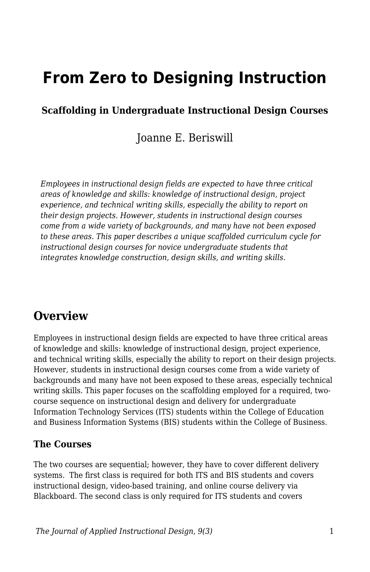# **From Zero to Designing Instruction**

### **Scaffolding in Undergraduate Instructional Design Courses**

Joanne E. Beriswill

*Employees in instructional design fields are expected to have three critical areas of knowledge and skills: knowledge of instructional design, project experience, and technical writing skills, especially the ability to report on their design projects. However, students in instructional design courses come from a wide variety of backgrounds, and many have not been exposed to these areas. This paper describes a unique scaffolded curriculum cycle for instructional design courses for novice undergraduate students that integrates knowledge construction, design skills, and writing skills.*

### **Overview**

Employees in instructional design fields are expected to have three critical areas of knowledge and skills: knowledge of instructional design, project experience, and technical writing skills, especially the ability to report on their design projects. However, students in instructional design courses come from a wide variety of backgrounds and many have not been exposed to these areas, especially technical writing skills. This paper focuses on the scaffolding employed for a required, twocourse sequence on instructional design and delivery for undergraduate Information Technology Services (ITS) students within the College of Education and Business Information Systems (BIS) students within the College of Business.

#### **The Courses**

The two courses are sequential; however, they have to cover different delivery systems. The first class is required for both ITS and BIS students and covers instructional design, video-based training, and online course delivery via Blackboard. The second class is only required for ITS students and covers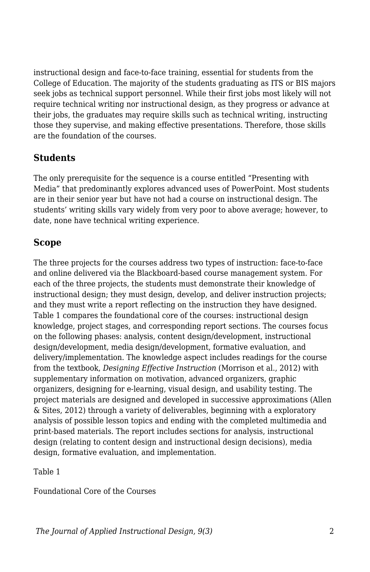instructional design and face-to-face training, essential for students from the College of Education. The majority of the students graduating as ITS or BIS majors seek jobs as technical support personnel. While their first jobs most likely will not require technical writing nor instructional design, as they progress or advance at their jobs, the graduates may require skills such as technical writing, instructing those they supervise, and making effective presentations. Therefore, those skills are the foundation of the courses.

#### **Students**

The only prerequisite for the sequence is a course entitled "Presenting with Media" that predominantly explores advanced uses of PowerPoint. Most students are in their senior year but have not had a course on instructional design. The students' writing skills vary widely from very poor to above average; however, to date, none have technical writing experience.

#### **Scope**

The three projects for the courses address two types of instruction: face-to-face and online delivered via the Blackboard-based course management system. For each of the three projects, the students must demonstrate their knowledge of instructional design; they must design, develop, and deliver instruction projects; and they must write a report reflecting on the instruction they have designed. Table 1 compares the foundational core of the courses: instructional design knowledge, project stages, and corresponding report sections. The courses focus on the following phases: analysis, content design/development, instructional design/development, media design/development, formative evaluation, and delivery/implementation. The knowledge aspect includes readings for the course from the textbook, *Designing Effective Instruction* (Morrison et al., 2012) with supplementary information on motivation, advanced organizers, graphic organizers, designing for e-learning, visual design, and usability testing. The project materials are designed and developed in successive approximations (Allen & Sites, 2012) through a variety of deliverables, beginning with a exploratory analysis of possible lesson topics and ending with the completed multimedia and print-based materials. The report includes sections for analysis, instructional design (relating to content design and instructional design decisions), media design, formative evaluation, and implementation.

Table 1

Foundational Core of the Courses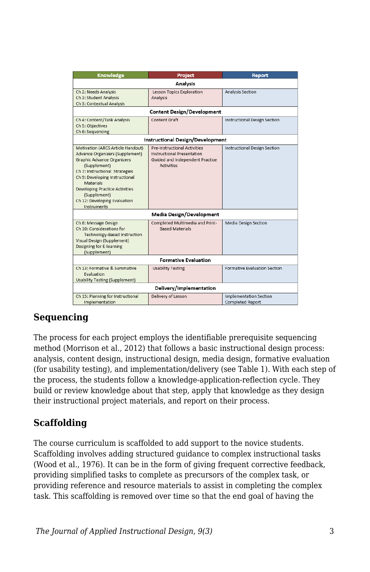| Knowledge                                                                                                                                                                                                                                                                                                          | Project                                                                                                                          | Report                                            |
|--------------------------------------------------------------------------------------------------------------------------------------------------------------------------------------------------------------------------------------------------------------------------------------------------------------------|----------------------------------------------------------------------------------------------------------------------------------|---------------------------------------------------|
| <b>Analysis</b>                                                                                                                                                                                                                                                                                                    |                                                                                                                                  |                                                   |
| Ch 2: Needs Analysis<br>Ch 3: Student Analysis<br>Ch 3: Contextual Analysis                                                                                                                                                                                                                                        | Lesson Topics Exploration<br>Analysis                                                                                            | Analysis Section                                  |
| <b>Content Design/Development</b>                                                                                                                                                                                                                                                                                  |                                                                                                                                  |                                                   |
| Ch 4: Content/Task Analysis<br>Ch 5: Objectives<br>Ch 6: Sequencing                                                                                                                                                                                                                                                | <b>Content Draft</b>                                                                                                             | Instructional Design Section                      |
| Instructional Design/Development                                                                                                                                                                                                                                                                                   |                                                                                                                                  |                                                   |
| Motivation (ARCS Article Handout)<br>Advance Organizers (Supplement)<br><b>Graphic Advance Organizers</b><br>(Supplement)<br>Ch 7: Instructional Strategies<br>Ch 9: Developing Instructional<br>Materials<br><b>Developing Practice Activities</b><br>(Supplement)<br>Ch 12: Developing Evaluation<br>Instruments | <b>Pre-Instructional Activities</b><br><b>Instructional Presentation</b><br>Guided and Independent Practice<br><b>Activities</b> | <b>Instructional Design Section</b>               |
| Media Design/Development                                                                                                                                                                                                                                                                                           |                                                                                                                                  |                                                   |
| Ch 8: Message Design<br>Ch 10: Considerations for<br>Technology-Based Instruction<br>Visual Design (Supplement)<br>Designing for E-learning<br>(Supplement)                                                                                                                                                        | Completed Multimedia and Print-<br><b>Based Materials</b>                                                                        | Media Design Section                              |
| <b>Formative Evaluation</b>                                                                                                                                                                                                                                                                                        |                                                                                                                                  |                                                   |
| Ch 13: Formative & Summative<br>Fvaluation<br><b>Usability Testing (Supplement)</b>                                                                                                                                                                                                                                | <b>Usability Testing</b>                                                                                                         | Formative Evaluation Section                      |
| Delivery/Implementation                                                                                                                                                                                                                                                                                            |                                                                                                                                  |                                                   |
| Ch 15: Planning for Instructional<br>Implementation                                                                                                                                                                                                                                                                | Delivery of Lesson                                                                                                               | <b>Implementation Section</b><br>Completed Report |

### **Sequencing**

The process for each project employs the identifiable prerequisite sequencing method (Morrison et al., 2012) that follows a basic instructional design process: analysis, content design, instructional design, media design, formative evaluation (for usability testing), and implementation/delivery (see Table 1). With each step of the process, the students follow a knowledge-application-reflection cycle. They build or review knowledge about that step, apply that knowledge as they design their instructional project materials, and report on their process.

#### **Scaffolding**

The course curriculum is scaffolded to add support to the novice students. Scaffolding involves adding structured guidance to complex instructional tasks (Wood et al., 1976). It can be in the form of giving frequent corrective feedback, providing simplified tasks to complete as precursors of the complex task, or providing reference and resource materials to assist in completing the complex task. This scaffolding is removed over time so that the end goal of having the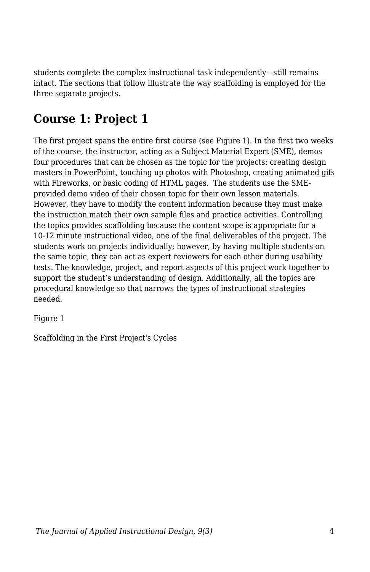students complete the complex instructional task independently—still remains intact. The sections that follow illustrate the way scaffolding is employed for the three separate projects.

# **Course 1: Project 1**

The first project spans the entire first course (see Figure 1). In the first two weeks of the course, the instructor, acting as a Subject Material Expert (SME), demos four procedures that can be chosen as the topic for the projects: creating design masters in PowerPoint, touching up photos with Photoshop, creating animated gifs with Fireworks, or basic coding of HTML pages. The students use the SMEprovided demo video of their chosen topic for their own lesson materials. However, they have to modify the content information because they must make the instruction match their own sample files and practice activities. Controlling the topics provides scaffolding because the content scope is appropriate for a 10-12 minute instructional video, one of the final deliverables of the project. The students work on projects individually; however, by having multiple students on the same topic, they can act as expert reviewers for each other during usability tests. The knowledge, project, and report aspects of this project work together to support the student's understanding of design. Additionally, all the topics are procedural knowledge so that narrows the types of instructional strategies needed.

Figure 1

Scaffolding in the First Project's Cycles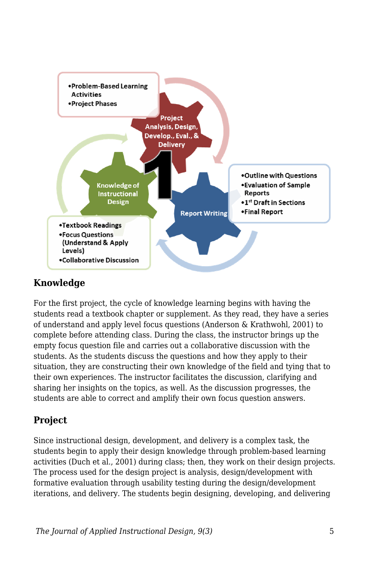

### **Knowledge**

For the first project, the cycle of knowledge learning begins with having the students read a textbook chapter or supplement. As they read, they have a series of understand and apply level focus questions (Anderson & Krathwohl, 2001) to complete before attending class. During the class, the instructor brings up the empty focus question file and carries out a collaborative discussion with the students. As the students discuss the questions and how they apply to their situation, they are constructing their own knowledge of the field and tying that to their own experiences. The instructor facilitates the discussion, clarifying and sharing her insights on the topics, as well. As the discussion progresses, the students are able to correct and amplify their own focus question answers.

### **Project**

Since instructional design, development, and delivery is a complex task, the students begin to apply their design knowledge through problem-based learning activities (Duch et al., 2001) during class; then, they work on their design projects. The process used for the design project is analysis, design/development with formative evaluation through usability testing during the design/development iterations, and delivery. The students begin designing, developing, and delivering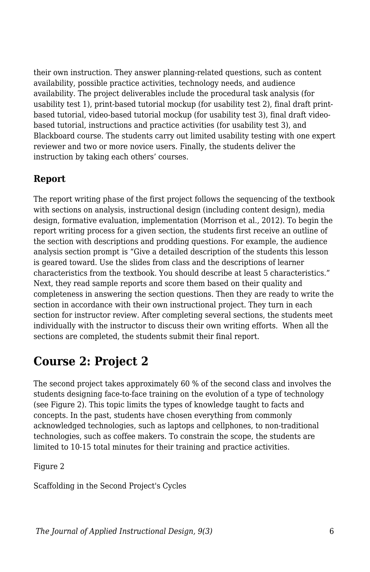their own instruction. They answer planning-related questions, such as content availability, possible practice activities, technology needs, and audience availability. The project deliverables include the procedural task analysis (for usability test 1), print-based tutorial mockup (for usability test 2), final draft printbased tutorial, video-based tutorial mockup (for usability test 3), final draft videobased tutorial, instructions and practice activities (for usability test 3), and Blackboard course. The students carry out limited usability testing with one expert reviewer and two or more novice users. Finally, the students deliver the instruction by taking each others' courses.

### **Report**

The report writing phase of the first project follows the sequencing of the textbook with sections on analysis, instructional design (including content design), media design, formative evaluation, implementation (Morrison et al., 2012). To begin the report writing process for a given section, the students first receive an outline of the section with descriptions and prodding questions. For example, the audience analysis section prompt is "Give a detailed description of the students this lesson is geared toward. Use the slides from class and the descriptions of learner characteristics from the textbook. You should describe at least 5 characteristics." Next, they read sample reports and score them based on their quality and completeness in answering the section questions. Then they are ready to write the section in accordance with their own instructional project. They turn in each section for instructor review. After completing several sections, the students meet individually with the instructor to discuss their own writing efforts. When all the sections are completed, the students submit their final report.

## **Course 2: Project 2**

The second project takes approximately 60 % of the second class and involves the students designing face-to-face training on the evolution of a type of technology (see Figure 2). This topic limits the types of knowledge taught to facts and concepts. In the past, students have chosen everything from commonly acknowledged technologies, such as laptops and cellphones, to non-traditional technologies, such as coffee makers. To constrain the scope, the students are limited to 10-15 total minutes for their training and practice activities.

Figure 2

Scaffolding in the Second Project's Cycles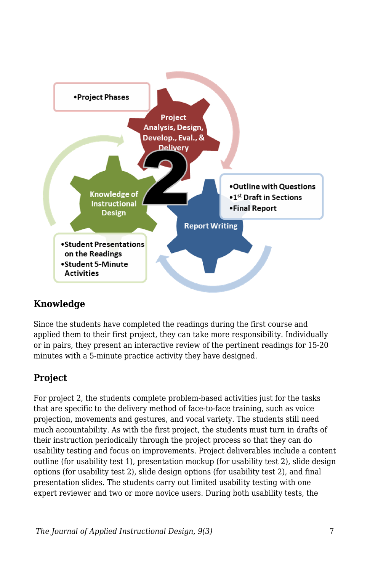

### **Knowledge**

Since the students have completed the readings during the first course and applied them to their first project, they can take more responsibility. Individually or in pairs, they present an interactive review of the pertinent readings for 15-20 minutes with a 5-minute practice activity they have designed.

### **Project**

For project 2, the students complete problem-based activities just for the tasks that are specific to the delivery method of face-to-face training, such as voice projection, movements and gestures, and vocal variety. The students still need much accountability. As with the first project, the students must turn in drafts of their instruction periodically through the project process so that they can do usability testing and focus on improvements. Project deliverables include a content outline (for usability test 1), presentation mockup (for usability test 2), slide design options (for usability test 2), slide design options (for usability test 2), and final presentation slides. The students carry out limited usability testing with one expert reviewer and two or more novice users. During both usability tests, the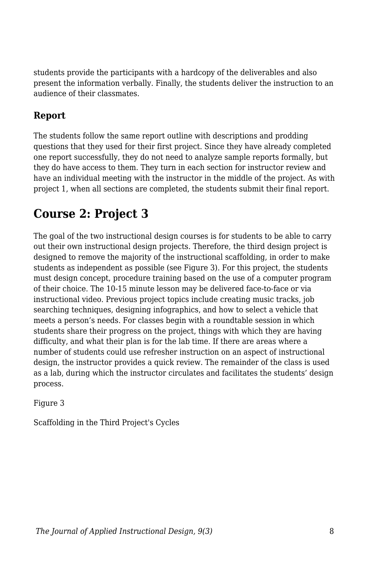students provide the participants with a hardcopy of the deliverables and also present the information verbally. Finally, the students deliver the instruction to an audience of their classmates.

### **Report**

The students follow the same report outline with descriptions and prodding questions that they used for their first project. Since they have already completed one report successfully, they do not need to analyze sample reports formally, but they do have access to them. They turn in each section for instructor review and have an individual meeting with the instructor in the middle of the project. As with project 1, when all sections are completed, the students submit their final report.

# **Course 2: Project 3**

The goal of the two instructional design courses is for students to be able to carry out their own instructional design projects. Therefore, the third design project is designed to remove the majority of the instructional scaffolding, in order to make students as independent as possible (see Figure 3). For this project, the students must design concept, procedure training based on the use of a computer program of their choice. The 10-15 minute lesson may be delivered face-to-face or via instructional video. Previous project topics include creating music tracks, job searching techniques, designing infographics, and how to select a vehicle that meets a person's needs. For classes begin with a roundtable session in which students share their progress on the project, things with which they are having difficulty, and what their plan is for the lab time. If there are areas where a number of students could use refresher instruction on an aspect of instructional design, the instructor provides a quick review. The remainder of the class is used as a lab, during which the instructor circulates and facilitates the students' design process.

Figure 3

Scaffolding in the Third Project's Cycles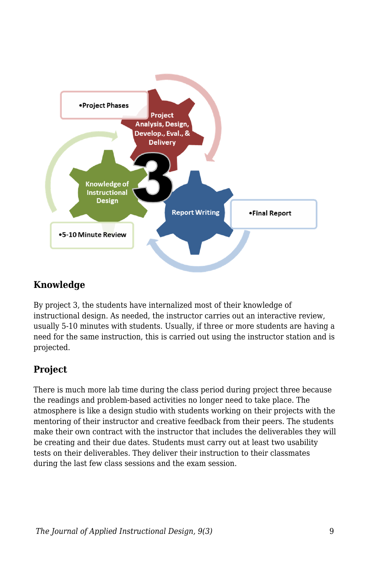

### **Knowledge**

By project 3, the students have internalized most of their knowledge of instructional design. As needed, the instructor carries out an interactive review, usually 5-10 minutes with students. Usually, if three or more students are having a need for the same instruction, this is carried out using the instructor station and is projected.

### **Project**

There is much more lab time during the class period during project three because the readings and problem-based activities no longer need to take place. The atmosphere is like a design studio with students working on their projects with the mentoring of their instructor and creative feedback from their peers. The students make their own contract with the instructor that includes the deliverables they will be creating and their due dates. Students must carry out at least two usability tests on their deliverables. They deliver their instruction to their classmates during the last few class sessions and the exam session.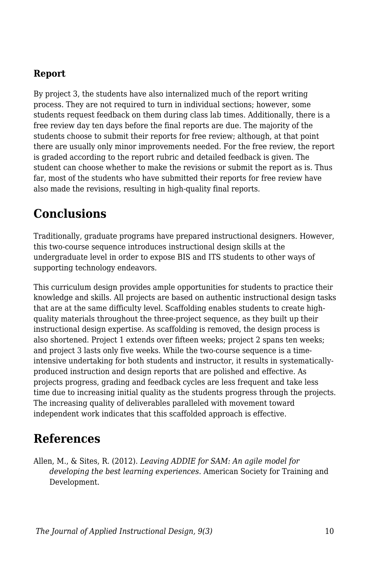### **Report**

By project 3, the students have also internalized much of the report writing process. They are not required to turn in individual sections; however, some students request feedback on them during class lab times. Additionally, there is a free review day ten days before the final reports are due. The majority of the students choose to submit their reports for free review; although, at that point there are usually only minor improvements needed. For the free review, the report is graded according to the report rubric and detailed feedback is given. The student can choose whether to make the revisions or submit the report as is. Thus far, most of the students who have submitted their reports for free review have also made the revisions, resulting in high-quality final reports.

## **Conclusions**

Traditionally, graduate programs have prepared instructional designers. However, this two-course sequence introduces instructional design skills at the undergraduate level in order to expose BIS and ITS students to other ways of supporting technology endeavors.

This curriculum design provides ample opportunities for students to practice their knowledge and skills. All projects are based on authentic instructional design tasks that are at the same difficulty level. Scaffolding enables students to create highquality materials throughout the three-project sequence, as they built up their instructional design expertise. As scaffolding is removed, the design process is also shortened. Project 1 extends over fifteen weeks; project 2 spans ten weeks; and project 3 lasts only five weeks. While the two-course sequence is a timeintensive undertaking for both students and instructor, it results in systematicallyproduced instruction and design reports that are polished and effective. As projects progress, grading and feedback cycles are less frequent and take less time due to increasing initial quality as the students progress through the projects. The increasing quality of deliverables paralleled with movement toward independent work indicates that this scaffolded approach is effective.

### **References**

Allen, M., & Sites, R. (2012). *Leaving ADDIE for SAM: An agile model for developing the best learning experiences*. American Society for Training and Development.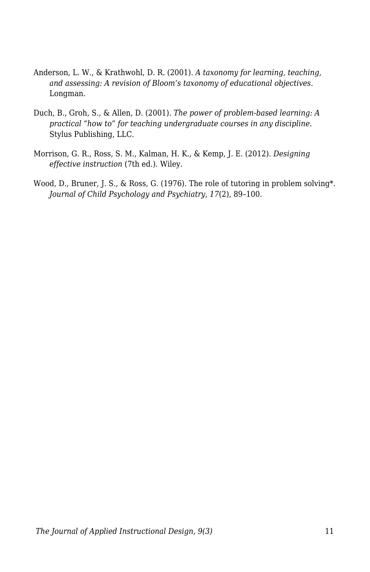- Anderson, L. W., & Krathwohl, D. R. (2001). *A taxonomy for learning, teaching, and assessing: A revision of Bloom's taxonomy of educational objectives.* Longman.
- Duch, B., Groh, S., & Allen, D. (2001). *The power of problem-based learning: A practical "how to" for teaching undergraduate courses in any discipline.* Stylus Publishing, LLC.
- Morrison, G. R., Ross, S. M., Kalman, H. K., & Kemp, J. E. (2012). *Designing effective instruction* (7th ed.). Wiley.
- Wood, D., Bruner, J. S., & Ross, G. (1976). The role of tutoring in problem solving\*. *Journal of Child Psychology and Psychiatry*, *17*(2), 89–100.